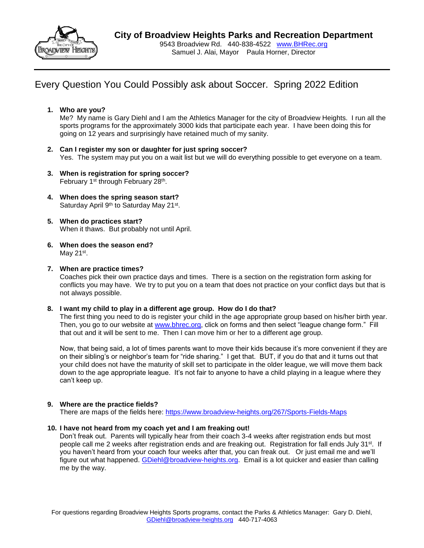

# Every Question You Could Possibly ask about Soccer. Spring 2022 Edition

### **1. Who are you?**

Me? My name is Gary Diehl and I am the Athletics Manager for the city of Broadview Heights. I run all the sports programs for the approximately 3000 kids that participate each year. I have been doing this for going on 12 years and surprisingly have retained much of my sanity.

- **2. Can I register my son or daughter for just spring soccer?** Yes. The system may put you on a wait list but we will do everything possible to get everyone on a team.
- **3. When is registration for spring soccer?** February 1<sup>st</sup> through February 28<sup>th</sup>.
- **4. When does the spring season start?** Saturday April 9<sup>th</sup> to Saturday May 21<sup>st</sup>.
- **5. When do practices start?** When it thaws. But probably not until April.
- **6. When does the season end?** May 21<sup>st</sup>.

### **7. When are practice times?**

Coaches pick their own practice days and times. There is a section on the registration form asking for conflicts you may have. We try to put you on a team that does not practice on your conflict days but that is not always possible.

### **8. I want my child to play in a different age group. How do I do that?**

The first thing you need to do is register your child in the age appropriate group based on his/her birth year. Then, you go to our website at [www.bhrec.org,](http://www.bhrec.org/) click on forms and then select "league change form." Fill that out and it will be sent to me. Then I can move him or her to a different age group.

Now, that being said, a lot of times parents want to move their kids because it's more convenient if they are on their sibling's or neighbor's team for "ride sharing." I get that. BUT, if you do that and it turns out that your child does not have the maturity of skill set to participate in the older league, we will move them back down to the age appropriate league. It's not fair to anyone to have a child playing in a league where they can't keep up.

### **9. Where are the practice fields?**

There are maps of the fields here:<https://www.broadview-heights.org/267/Sports-Fields-Maps>

### **10. I have not heard from my coach yet and I am freaking out!**

Don't freak out. Parents will typically hear from their coach 3-4 weeks after registration ends but most people call me 2 weeks after registration ends and are freaking out. Registration for fall ends July 31<sup>st</sup>. If you haven't heard from your coach four weeks after that, you can freak out. Or just email me and we'll figure out what happened. [GDiehl@broadview-heights.org.](mailto:GDiehl@broadview-heights.org) Email is a lot quicker and easier than calling me by the way.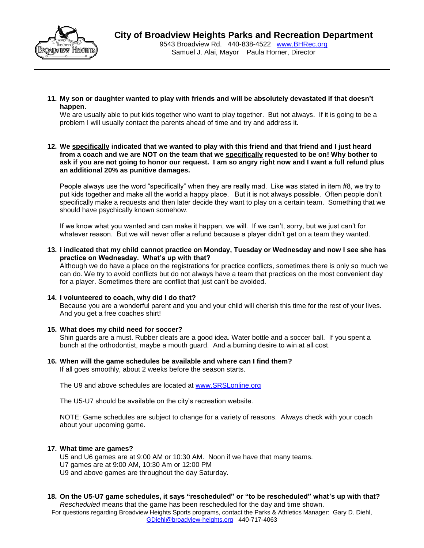

Samuel J. Alai, Mayor Paula Horner, Director

**11. My son or daughter wanted to play with friends and will be absolutely devastated if that doesn't happen.**

We are usually able to put kids together who want to play together. But not always. If it is going to be a problem I will usually contact the parents ahead of time and try and address it.

**12. We specifically indicated that we wanted to play with this friend and that friend and I just heard from a coach and we are NOT on the team that we specifically requested to be on! Why bother to ask if you are not going to honor our request. I am so angry right now and I want a full refund plus an additional 20% as punitive damages.** 

People always use the word "specifically" when they are really mad. Like was stated in item #8, we try to put kids together and make all the world a happy place. But it is not always possible. Often people don't specifically make a requests and then later decide they want to play on a certain team. Something that we should have psychically known somehow.

If we know what you wanted and can make it happen, we will. If we can't, sorry, but we just can't for whatever reason. But we will never offer a refund because a player didn't get on a team they wanted.

**13. I indicated that my child cannot practice on Monday, Tuesday or Wednesday and now I see she has practice on Wednesday. What's up with that?**

Although we do have a place on the registrations for practice conflicts, sometimes there is only so much we can do. We try to avoid conflicts but do not always have a team that practices on the most convenient day for a player. Sometimes there are conflict that just can't be avoided.

### **14. I volunteered to coach, why did I do that?**

Because you are a wonderful parent and you and your child will cherish this time for the rest of your lives. And you get a free coaches shirt!

### **15. What does my child need for soccer?**

Shin guards are a must. Rubber cleats are a good idea. Water bottle and a soccer ball. If you spent a bunch at the orthodontist, maybe a mouth guard. And a burning desire to win at all cost.

**16. When will the game schedules be available and where can I find them?** If all goes smoothly, about 2 weeks before the season starts.

The U9 and above schedules are located at [www.SRSLonline.org](http://www.srslonline.org/)

The U5-U7 should be available on the city's recreation website.

NOTE: Game schedules are subject to change for a variety of reasons. Always check with your coach about your upcoming game.

### **17. What time are games?**

U5 and U6 games are at 9:00 AM or 10:30 AM. Noon if we have that many teams.

- U7 games are at 9:00 AM, 10:30 Am or 12:00 PM
- U9 and above games are throughout the day Saturday.

#### **18. On the U5-U7 game schedules, it says "rescheduled" or "to be rescheduled" what's up with that?** *Rescheduled* means that the game has been rescheduled for the day and time shown.

For questions regarding Broadview Heights Sports programs, contact the Parks & Athletics Manager: Gary D. Diehl, [GDiehl@broadview-heights.org](mailto:GDiehl@broadview-heights.org) 440-717-4063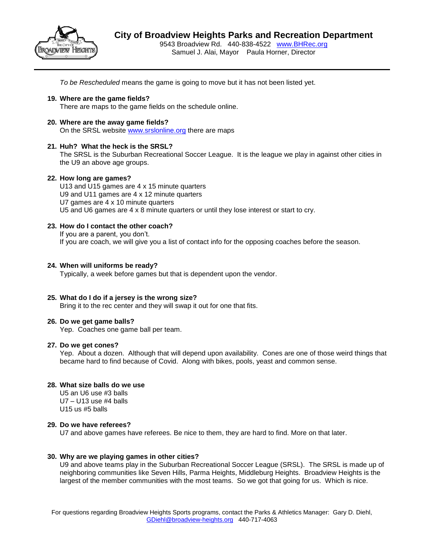

*To be Rescheduled* means the game is going to move but it has not been listed yet.

**19. Where are the game fields?**

There are maps to the game fields on the schedule online.

**20. Where are the away game fields?** On the SRSL website [www.srslonline.org](http://www.srslonline.org/) there are maps

### **21. Huh? What the heck is the SRSL?**

The SRSL is the Suburban Recreational Soccer League. It is the league we play in against other cities in the U9 an above age groups.

### **22. How long are games?**

U13 and U15 games are 4 x 15 minute quarters U9 and U11 games are 4 x 12 minute quarters U7 games are 4 x 10 minute quarters U5 and U6 games are 4 x 8 minute quarters or until they lose interest or start to cry.

### **23. How do I contact the other coach?**

If you are a parent, you don't. If you are coach, we will give you a list of contact info for the opposing coaches before the season.

### **24. When will uniforms be ready?**

Typically, a week before games but that is dependent upon the vendor.

### **25. What do I do if a jersey is the wrong size?**

Bring it to the rec center and they will swap it out for one that fits.

### **26. Do we get game balls?**

Yep. Coaches one game ball per team.

### **27. Do we get cones?**

Yep. About a dozen. Although that will depend upon availability. Cones are one of those weird things that became hard to find because of Covid. Along with bikes, pools, yeast and common sense.

### **28. What size balls do we use**

U5 an U6 use #3 balls  $U7 - U13$  use #4 balls U15 us #5 balls

### **29. Do we have referees?**

U7 and above games have referees. Be nice to them, they are hard to find. More on that later.

### **30. Why are we playing games in other cities?**

U9 and above teams play in the Suburban Recreational Soccer League (SRSL). The SRSL is made up of neighboring communities like Seven Hills, Parma Heights, Middleburg Heights. Broadview Heights is the largest of the member communities with the most teams. So we got that going for us. Which is nice.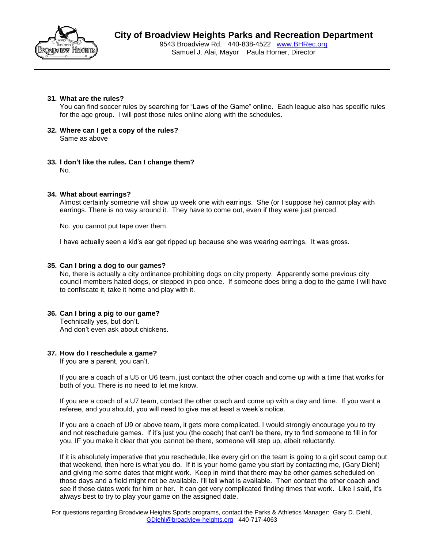

### **31. What are the rules?**

You can find soccer rules by searching for "Laws of the Game" online. Each league also has specific rules for the age group. I will post those rules online along with the schedules.

- **32. Where can I get a copy of the rules?** Same as above
- **33. I don't like the rules. Can I change them?** No.

### **34. What about earrings?**

Almost certainly someone will show up week one with earrings. She (or I suppose he) cannot play with earrings. There is no way around it. They have to come out, even if they were just pierced.

No. you cannot put tape over them.

I have actually seen a kid's ear get ripped up because she was wearing earrings. It was gross.

#### **35. Can I bring a dog to our games?**

No, there is actually a city ordinance prohibiting dogs on city property. Apparently some previous city council members hated dogs, or stepped in poo once. If someone does bring a dog to the game I will have to confiscate it, take it home and play with it.

### **36. Can I bring a pig to our game?**

Technically yes, but don't. And don't even ask about chickens.

#### **37. How do I reschedule a game?**

If you are a parent, you can't.

If you are a coach of a U5 or U6 team, just contact the other coach and come up with a time that works for both of you. There is no need to let me know.

If you are a coach of a U7 team, contact the other coach and come up with a day and time. If you want a referee, and you should, you will need to give me at least a week's notice.

If you are a coach of U9 or above team, it gets more complicated. I would strongly encourage you to try and not reschedule games. If it's just you (the coach) that can't be there, try to find someone to fill in for you. IF you make it clear that you cannot be there, someone will step up, albeit reluctantly.

If it is absolutely imperative that you reschedule, like every girl on the team is going to a girl scout camp out that weekend, then here is what you do. If it is your home game you start by contacting me, (Gary Diehl) and giving me some dates that might work. Keep in mind that there may be other games scheduled on those days and a field might not be available. I'll tell what is available. Then contact the other coach and see if those dates work for him or her. It can get very complicated finding times that work. Like I said, it's always best to try to play your game on the assigned date.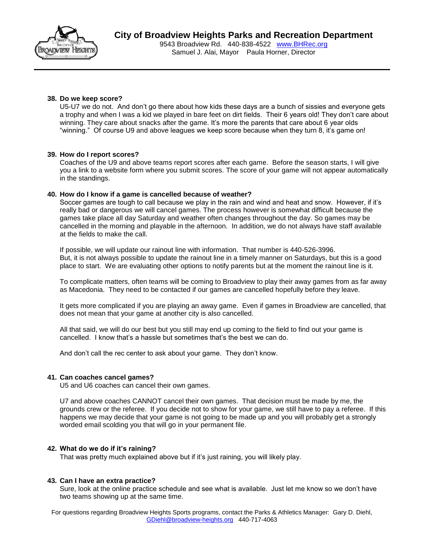

### **38. Do we keep score?**

U5-U7 we do not. And don't go there about how kids these days are a bunch of sissies and everyone gets a trophy and when I was a kid we played in bare feet on dirt fields. Their 6 years old! They don't care about winning. They care about snacks after the game. It's more the parents that care about 6 year olds "winning." Of course U9 and above leagues we keep score because when they turn 8, it's game on!

### **39. How do I report scores?**

Coaches of the U9 and above teams report scores after each game. Before the season starts, I will give you a link to a website form where you submit scores. The score of your game will not appear automatically in the standings.

### **40. How do I know if a game is cancelled because of weather?**

Soccer games are tough to call because we play in the rain and wind and heat and snow. However, if it's really bad or dangerous we will cancel games. The process however is somewhat difficult because the games take place all day Saturday and weather often changes throughout the day. So games may be cancelled in the morning and playable in the afternoon. In addition, we do not always have staff available at the fields to make the call.

If possible, we will update our rainout line with information. That number is 440-526-3996. But, it is not always possible to update the rainout line in a timely manner on Saturdays, but this is a good place to start. We are evaluating other options to notify parents but at the moment the rainout line is it.

To complicate matters, often teams will be coming to Broadview to play their away games from as far away as Macedonia. They need to be contacted if our games are cancelled hopefully before they leave.

It gets more complicated if you are playing an away game. Even if games in Broadview are cancelled, that does not mean that your game at another city is also cancelled.

All that said, we will do our best but you still may end up coming to the field to find out your game is cancelled. I know that's a hassle but sometimes that's the best we can do.

And don't call the rec center to ask about your game. They don't know.

### **41. Can coaches cancel games?**

U5 and U6 coaches can cancel their own games.

U7 and above coaches CANNOT cancel their own games. That decision must be made by me, the grounds crew or the referee. If you decide not to show for your game, we still have to pay a referee. If this happens we may decide that your game is not going to be made up and you will probably get a strongly worded email scolding you that will go in your permanent file.

### **42. What do we do if it's raining?**

That was pretty much explained above but if it's just raining, you will likely play.

### **43. Can I have an extra practice?**

Sure, look at the online practice schedule and see what is available. Just let me know so we don't have two teams showing up at the same time.

For questions regarding Broadview Heights Sports programs, contact the Parks & Athletics Manager: Gary D. Diehl, [GDiehl@broadview-heights.org](mailto:GDiehl@broadview-heights.org) 440-717-4063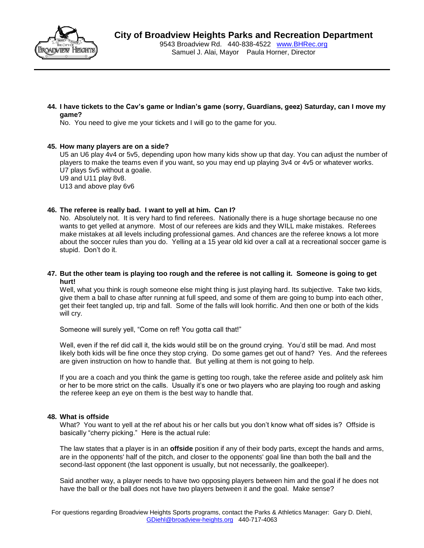

**44. I have tickets to the Cav's game or Indian's game (sorry, Guardians, geez) Saturday, can I move my game?**

No. You need to give me your tickets and I will go to the game for you.

### **45. How many players are on a side?**

U5 an U6 play 4v4 or 5v5, depending upon how many kids show up that day. You can adjust the number of players to make the teams even if you want, so you may end up playing 3v4 or 4v5 or whatever works. U7 plays 5v5 without a goalie.

U9 and U11 play 8v8.

U13 and above play 6v6

### **46. The referee is really bad. I want to yell at him. Can I?**

No. Absolutely not. It is very hard to find referees. Nationally there is a huge shortage because no one wants to get yelled at anymore. Most of our referees are kids and they WILL make mistakes. Referees make mistakes at all levels including professional games. And chances are the referee knows a lot more about the soccer rules than you do. Yelling at a 15 year old kid over a call at a recreational soccer game is stupid. Don't do it.

### **47. But the other team is playing too rough and the referee is not calling it. Someone is going to get hurt!**

Well, what you think is rough someone else might thing is just playing hard. Its subjective. Take two kids, give them a ball to chase after running at full speed, and some of them are going to bump into each other, get their feet tangled up, trip and fall. Some of the falls will look horrific. And then one or both of the kids will cry.

Someone will surely yell, "Come on ref! You gotta call that!"

Well, even if the ref did call it, the kids would still be on the ground crying. You'd still be mad. And most likely both kids will be fine once they stop crying. Do some games get out of hand? Yes. And the referees are given instruction on how to handle that. But yelling at them is not going to help.

If you are a coach and you think the game is getting too rough, take the referee aside and politely ask him or her to be more strict on the calls. Usually it's one or two players who are playing too rough and asking the referee keep an eye on them is the best way to handle that.

### **48. What is offside**

What? You want to yell at the ref about his or her calls but you don't know what off sides is? Offside is basically "cherry picking." Here is the actual rule:

The law states that a player is in an **offside** position if any of their body parts, except the hands and arms, are in the opponents' half of the pitch, and closer to the opponents' goal line than both the ball and the second-last opponent (the last opponent is usually, but not necessarily, the goalkeeper).

Said another way, a player needs to have two opposing players between him and the goal if he does not have the ball or the ball does not have two players between it and the goal. Make sense?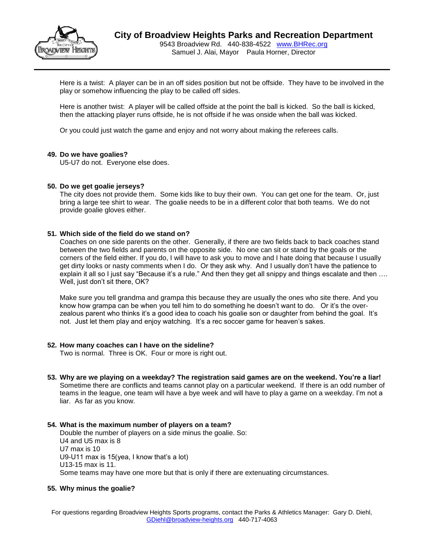

Here is a twist: A player can be in an off sides position but not be offside. They have to be involved in the play or somehow influencing the play to be called off sides.

Here is another twist: A player will be called offside at the point the ball is kicked. So the ball is kicked, then the attacking player runs offside, he is not offside if he was onside when the ball was kicked.

Or you could just watch the game and enjoy and not worry about making the referees calls.

### **49. Do we have goalies?**

U5-U7 do not. Everyone else does.

#### **50. Do we get goalie jerseys?**

The city does not provide them. Some kids like to buy their own. You can get one for the team. Or, just bring a large tee shirt to wear. The goalie needs to be in a different color that both teams. We do not provide goalie gloves either.

#### **51. Which side of the field do we stand on?**

Coaches on one side parents on the other. Generally, if there are two fields back to back coaches stand between the two fields and parents on the opposite side. No one can sit or stand by the goals or the corners of the field either. If you do, I will have to ask you to move and I hate doing that because I usually get dirty looks or nasty comments when I do. Or they ask why. And I usually don't have the patience to explain it all so I just say "Because it's a rule." And then they get all snippy and things escalate and then .... Well, just don't sit there, OK?

Make sure you tell grandma and grampa this because they are usually the ones who site there. And you know how grampa can be when you tell him to do something he doesn't want to do. Or it's the overzealous parent who thinks it's a good idea to coach his goalie son or daughter from behind the goal. It's not. Just let them play and enjoy watching. It's a rec soccer game for heaven's sakes.

#### **52. How many coaches can I have on the sideline?**

Two is normal. Three is OK. Four or more is right out.

**53. Why are we playing on a weekday? The registration said games are on the weekend. You're a liar!** Sometime there are conflicts and teams cannot play on a particular weekend. If there is an odd number of teams in the league, one team will have a bye week and will have to play a game on a weekday. I'm not a liar. As far as you know.

#### **54. What is the maximum number of players on a team?**

Double the number of players on a side minus the goalie. So: U4 and U5 max is 8 U7 max is 10 U9-U11 max is 15(yea, I know that's a lot) U13-15 max is 11. Some teams may have one more but that is only if there are extenuating circumstances.

#### **55. Why minus the goalie?**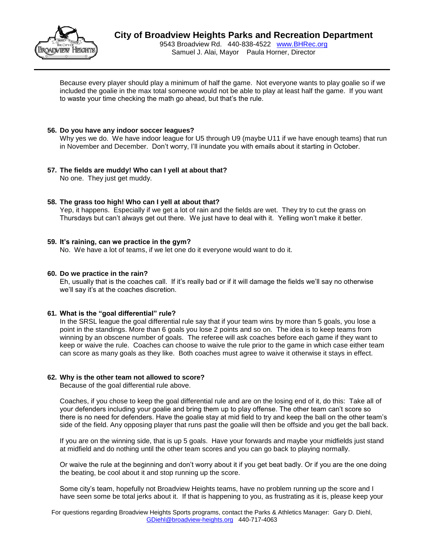

Because every player should play a minimum of half the game. Not everyone wants to play goalie so if we included the goalie in the max total someone would not be able to play at least half the game. If you want to waste your time checking the math go ahead, but that's the rule.

### **56. Do you have any indoor soccer leagues?**

Why yes we do. We have indoor league for U5 through U9 (maybe U11 if we have enough teams) that run in November and December. Don't worry, I'll inundate you with emails about it starting in October.

### **57. The fields are muddy! Who can I yell at about that?**

No one. They just get muddy.

### **58. The grass too high! Who can I yell at about that?**

Yep, it happens. Especially if we get a lot of rain and the fields are wet. They try to cut the grass on Thursdays but can't always get out there. We just have to deal with it. Yelling won't make it better.

### **59. It's raining, can we practice in the gym?**

No. We have a lot of teams, if we let one do it everyone would want to do it.

### **60. Do we practice in the rain?**

Eh, usually that is the coaches call. If it's really bad or if it will damage the fields we'll say no otherwise we'll say it's at the coaches discretion.

### **61. What is the "goal differential" rule?**

In the SRSL league the goal differential rule say that if your team wins by more than 5 goals, you lose a point in the standings. More than 6 goals you lose 2 points and so on. The idea is to keep teams from winning by an obscene number of goals. The referee will ask coaches before each game if they want to keep or waive the rule. Coaches can choose to waive the rule prior to the game in which case either team can score as many goals as they like. Both coaches must agree to waive it otherwise it stays in effect.

### **62. Why is the other team not allowed to score?**

Because of the goal differential rule above.

Coaches, if you chose to keep the goal differential rule and are on the losing end of it, do this: Take all of your defenders including your goalie and bring them up to play offense. The other team can't score so there is no need for defenders. Have the goalie stay at mid field to try and keep the ball on the other team's side of the field. Any opposing player that runs past the goalie will then be offside and you get the ball back.

If you are on the winning side, that is up 5 goals. Have your forwards and maybe your midfields just stand at midfield and do nothing until the other team scores and you can go back to playing normally.

Or waive the rule at the beginning and don't worry about it if you get beat badly. Or if you are the one doing the beating, be cool about it and stop running up the score.

Some city's team, hopefully not Broadview Heights teams, have no problem running up the score and I have seen some be total jerks about it. If that is happening to you, as frustrating as it is, please keep your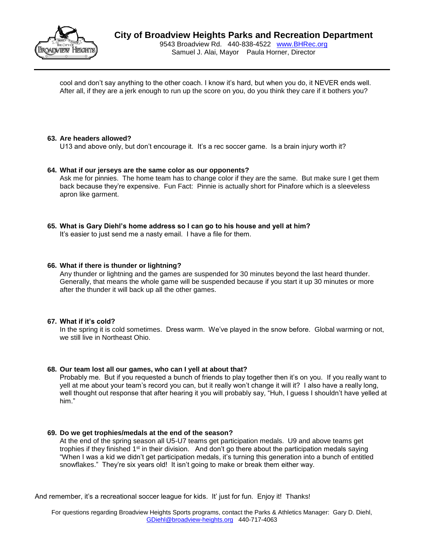

cool and don't say anything to the other coach. I know it's hard, but when you do, it NEVER ends well. After all, if they are a jerk enough to run up the score on you, do you think they care if it bothers you?

### **63. Are headers allowed?**

U13 and above only, but don't encourage it. It's a rec soccer game. Is a brain injury worth it?

### **64. What if our jerseys are the same color as our opponents?**

Ask me for pinnies. The home team has to change color if they are the same. But make sure I get them back because they're expensive. Fun Fact: Pinnie is actually short for Pinafore which is a sleeveless apron like garment.

# **65. What is Gary Diehl's home address so I can go to his house and yell at him?**

It's easier to just send me a nasty email. I have a file for them.

### **66. What if there is thunder or lightning?**

Any thunder or lightning and the games are suspended for 30 minutes beyond the last heard thunder. Generally, that means the whole game will be suspended because if you start it up 30 minutes or more after the thunder it will back up all the other games.

### **67. What if it's cold?**

In the spring it is cold sometimes. Dress warm. We've played in the snow before. Global warming or not, we still live in Northeast Ohio.

### **68. Our team lost all our games, who can I yell at about that?**

Probably me. But if you requested a bunch of friends to play together then it's on you. If you really want to yell at me about your team's record you can, but it really won't change it will it? I also have a really long, well thought out response that after hearing it you will probably say, "Huh, I guess I shouldn't have yelled at him."

### **69. Do we get trophies/medals at the end of the season?**

At the end of the spring season all U5-U7 teams get participation medals. U9 and above teams get trophies if they finished  $1<sup>st</sup>$  in their division. And don't go there about the participation medals saying "When I was a kid we didn't get participation medals, it's turning this generation into a bunch of entitled snowflakes." They're six years old! It isn't going to make or break them either way.

And remember, it's a recreational soccer league for kids. It' just for fun. Enjoy it! Thanks!